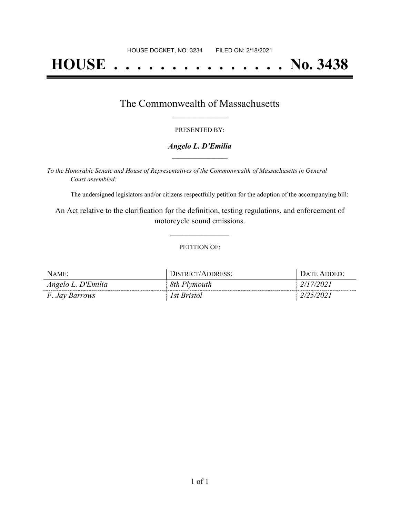# **HOUSE . . . . . . . . . . . . . . . No. 3438**

## The Commonwealth of Massachusetts **\_\_\_\_\_\_\_\_\_\_\_\_\_\_\_\_\_**

#### PRESENTED BY:

#### *Angelo L. D'Emilia* **\_\_\_\_\_\_\_\_\_\_\_\_\_\_\_\_\_**

*To the Honorable Senate and House of Representatives of the Commonwealth of Massachusetts in General Court assembled:*

The undersigned legislators and/or citizens respectfully petition for the adoption of the accompanying bill:

An Act relative to the clarification for the definition, testing regulations, and enforcement of motorcycle sound emissions.

**\_\_\_\_\_\_\_\_\_\_\_\_\_\_\_**

#### PETITION OF:

| $N$ AME:              | DISTRICT/ADDRESS: | DATE ADDED: |
|-----------------------|-------------------|-------------|
| Angelo L. D'Emilia    | 8th Plymouth      | 2/17/2021   |
| <i>F. Jay Barrows</i> | 1st Bristol       | 2/25/2021   |